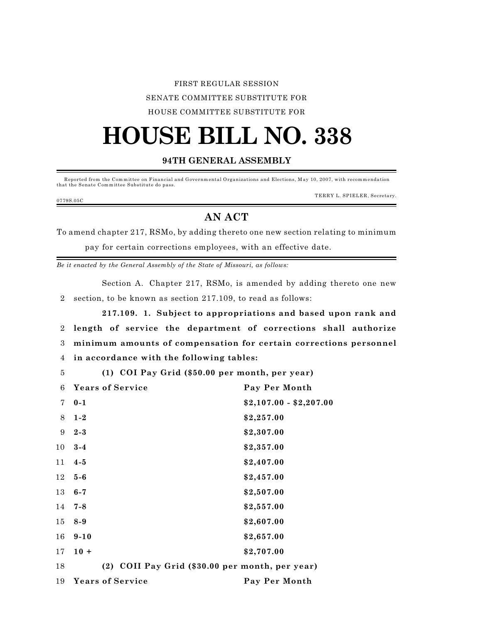## FIRST REGULAR SESSION SENATE COMMITTEE SUBSTITUTE FOR HOUSE COMMITTEE SUBSTITUTE FOR

## **HOUSE BILL NO. 338**

## **94TH GENERAL ASSEMBLY**

Reported from the Committee on Financial and Governmental Organizations and Elections, May 10, 2007, with recommendation that the Senate Committee Substitute do pass.

0779S.05C

TERRY L. SPIELER, Secretary.

## **AN ACT**

To amend chapter 217, RSMo, by adding thereto one new section relating to minimum pay for certain corrections employees, with an effective date.

*Be it enacted by the General Assembly of the State of Missouri, as follows:*

Section A. Chapter 217, RSMo, is amended by adding thereto one new 2 section, to be known as section 217.109, to read as follows:

**217.109. 1. Subject to appropriations and based upon rank and length of service the department of corrections shall authorize minimum amounts of compensation for certain corrections personnel in accordance with the following tables:**

5 **(1) COI Pay Grid (\$50.00 per month, per year)**

| 6  | <b>Years of Service</b>                         | Pay Per Month           |
|----|-------------------------------------------------|-------------------------|
| 7  | $0 - 1$                                         | $$2,107.00 - $2,207.00$ |
| 8  | $1 - 2$                                         | \$2,257.00              |
| 9  | $2 - 3$                                         | \$2,307.00              |
| 10 | $3 - 4$                                         | \$2,357.00              |
| 11 | $4 - 5$                                         | \$2,407.00              |
| 12 | $5-6$                                           | \$2,457.00              |
| 13 | $6 - 7$                                         | \$2,507.00              |
| 14 | 7-8                                             | \$2,557.00              |
| 15 | $8-9$                                           | \$2,607.00              |
| 16 | $9 - 10$                                        | \$2,657.00              |
| 17 | $10 +$                                          | \$2,707.00              |
| 18 | (2) COII Pay Grid (\$30.00 per month, per year) |                         |
| 19 | <b>Years of Service</b>                         | Pay Per Month           |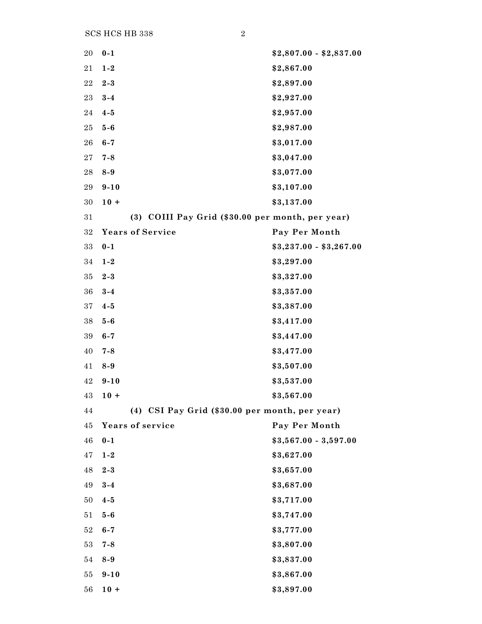SCS HCS HB 338 2

| 20          | $0 - 1$                                          | $$2,807.00 - $2,837.00$ |
|-------------|--------------------------------------------------|-------------------------|
| 21          | $1 - 2$                                          | \$2,867.00              |
| $\bf{22}$   | $2 - 3$                                          | \$2,897.00              |
| $\bf 23$    | $3-4$                                            | \$2,927.00              |
| 24          | $4 - 5$                                          | \$2,957.00              |
| $\bf 25$    | $5-6$                                            | \$2,987.00              |
| 26          | $6 - 7$                                          | \$3,017.00              |
| $\sqrt{27}$ | $7 - 8$                                          | \$3,047.00              |
| 28          | $8-9$                                            | \$3,077.00              |
| 29          | $9 - 10$                                         | \$3,107.00              |
| $30\,$      | $10 +$                                           | \$3,137.00              |
| 31          | (3) COIII Pay Grid (\$30.00 per month, per year) |                         |
| $32\,$      | <b>Years of Service</b>                          | Pay Per Month           |
| 33          | $0 - 1$                                          | $$3,237.00 - $3,267.00$ |
| 34          | $1 - 2$                                          | \$3,297.00              |
| 35          | $2 - 3$                                          | \$3,327.00              |
| 36          | $3 - 4$                                          | \$3,357.00              |
| $37\,$      | $4 - 5$                                          | \$3,387.00              |
| 38          | $5-6$                                            | \$3,417.00              |
| 39          | $6 - 7$                                          | \$3,447.00              |
| 40          | $7 - 8$                                          | \$3,477.00              |
| 41          | $8-9$                                            | \$3,507.00              |
| 42          | $9 - 10$                                         | \$3,537.00              |
| 43          | $10 +$                                           | \$3,567.00              |
| 44          | (4) CSI Pay Grid (\$30.00 per month, per year)   |                         |
| 45          | <b>Years of service</b>                          | Pay Per Month           |
| 46          | $0 - 1$                                          | $$3,567.00 - 3,597.00$  |
| 47          | $1 - 2$                                          | \$3,627.00              |
| 48          | $2 - 3$                                          | \$3,657.00              |
| 49          | $3 - 4$                                          | \$3,687.00              |
| 50          | $4 - 5$                                          | \$3,717.00              |
| 51          | $5-6$                                            | \$3,747.00              |
| $52\,$      | $6 - 7$                                          | \$3,777.00              |
| 53          | $7 - 8$                                          | \$3,807.00              |
| 54          | $8-9$                                            | \$3,837.00              |
| 55          | $9 - 10$                                         | \$3,867.00              |
| 56          | $10 +$                                           | \$3,897.00              |